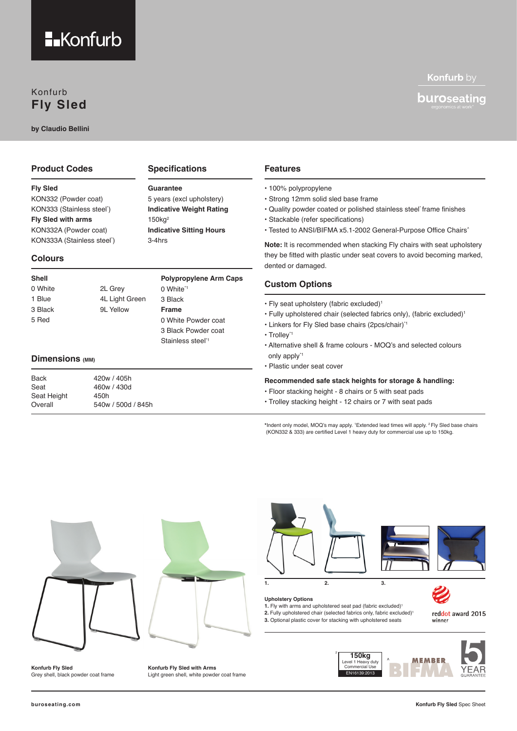

### Konfurb **Fly Sled**

**by Claudio Bellini**

### **Product Codes**

**Fly Sled**  KON332 (Powder coat) KON333 (Stainless steel\* ) **Fly Sled with arms** KON332A (Powder coat)

KON333A (Stainless steel\* )

### **Colours**

| Shell   |                | <b>Polypropylene Arm Caps</b> |
|---------|----------------|-------------------------------|
| 0 White | 2L Grey        | 0 White <sup>*1</sup>         |
| 1 Blue  | 4L Light Green | 3 Black                       |
| 3 Black | 9L Yellow      | <b>Frame</b>                  |
| 5 Red   |                | 0 White Powder coat           |
|         |                | 3 Black Powder coat           |
|         |                | Stainless steel <sup>*1</sup> |

**Specifications**

5 years (excl upholstery) **Indicative Weight Rating**

**Indicative Sitting Hours**

**Guarantee**

150kg2

3-4hrs

### **Dimensions (MM)**

| <b>Back</b> | 420w / 405h        | Re        |
|-------------|--------------------|-----------|
| Seat        | 460w / 430d        | ٠F        |
| Seat Height | 450h               |           |
| Overall     | 540w / 500d / 845h | $\cdot$ T |
|             |                    |           |

### **Features**

- 100% polypropylene
- Strong 12mm solid sled base frame
- Quality powder coated or polished stainless steel\* frame finishes
- Stackable (refer specifications)
- Tested to ANSI/BIFMA x5.1-2002 General-Purpose Office Chairs^

**Note:** It is recommended when stacking Fly chairs with seat upholstery they be fitted with plastic under seat covers to avoid becoming marked, dented or damaged.

### **Custom Options**

- Fly seat upholstery (fabric excluded)1
- Fully upholstered chair (selected fabrics only), (fabric excluded)1
- Linkers for Fly Sled base chairs (2pcs/chair)\*1
- Trolley\*1
- Alternative shell & frame colours MOQ's and selected colours only apply\*1
- Plastic under seat cover

#### **Recommended safe stack heights for storage & handling:**

- loor stacking height 8 chairs or 5 with seat pads
- rolley stacking height 12 chairs or 7 with seat pads

**\***Indent only model, MOQ's may apply. 1 Extended lead times will apply. 2 Fly Sled base chairs (KON332 & 333) are certified Level 1 heavy duty for commercial use up to 150kg.



**Konfurb Fly Sled** Grey shell, black powder coat frame **Konfurb Fly Sled with Arms** Light green shell, white powder coat frame



### **Upholstery Options**

**1.** Fly with arms and upholstered seat pad (fabric excluded)<sup>1</sup>

**1. 2. 3.**

**2.** Fully upholstered chair (selected fabrics only, fabric excluded)<sup>1</sup> **3.** Optional plastic cover for stacking with upholstered seats

reddot award 2015 winner

Konfurb by

**buro**seating